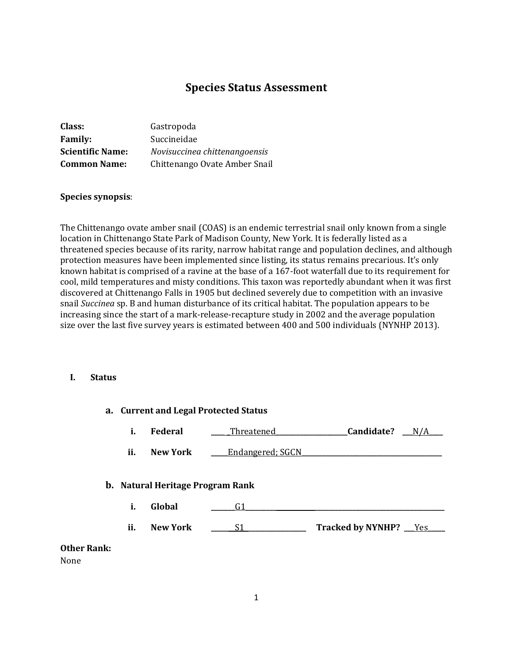# **Species Status Assessment**

| Class:                  | Gastropoda                    |
|-------------------------|-------------------------------|
| <b>Family:</b>          | Succineidae                   |
| <b>Scientific Name:</b> | Novisuccinea chittenangoensis |
| <b>Common Name:</b>     | Chittenango Ovate Amber Snail |

#### **Species synopsis**:

The Chittenango ovate amber snail (COAS) is an endemic terrestrial snail only known from a single location in Chittenango State Park of Madison County, New York. It is federally listed as a threatened species because of its rarity, narrow habitat range and population declines, and although protection measures have been implemented since listing, its status remains precarious. It's only known habitat is comprised of a ravine at the base of a 167-foot waterfall due to its requirement for cool, mild temperatures and misty conditions. This taxon was reportedly abundant when it was first discovered at Chittenango Falls in 1905 but declined severely due to competition with an invasive snail *Succinea* sp. B and human disturbance of its critical habitat. The population appears to be increasing since the start of a mark-release-recapture study in 2002 and the average population size over the last five survey years is estimated between 400 and 500 individuals (NYNHP 2013).

## **I. Status**

|                            | a. Current and Legal Protected Status |                                                   |                  |                          |     |
|----------------------------|---------------------------------------|---------------------------------------------------|------------------|--------------------------|-----|
|                            | Federal<br>i.                         |                                                   | _Threatened_     | Candidate?               | N/A |
|                            | ii.                                   | <b>New York</b>                                   | Endangered; SGCN |                          |     |
|                            | i.                                    | <b>b.</b> Natural Heritage Program Rank<br>Global | G1               |                          |     |
|                            | ii.                                   | <b>New York</b>                                   | S1               | Tracked by NYNHP? __ Yes |     |
| <b>Other Rank:</b><br>None |                                       |                                                   |                  |                          |     |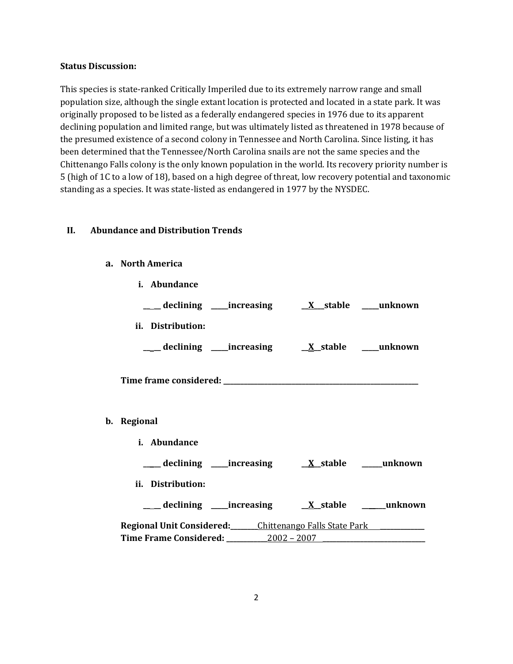### **Status Discussion:**

This species is state-ranked Critically Imperiled due to its extremely narrow range and small population size, although the single extant location is protected and located in a state park. It was originally proposed to be listed as a federally endangered species in 1976 due to its apparent declining population and limited range, but was ultimately listed as threatened in 1978 because of the presumed existence of a second colony in Tennessee and North Carolina. Since listing, it has been determined that the Tennessee/North Carolina snails are not the same species and the Chittenango Falls colony is the only known population in the world. Its recovery priority number is 5 (high of 1C to a low of 18), based on a high degree of threat, low recovery potential and taxonomic standing as a species. It was state-listed as endangered in 1977 by the NYSDEC.

## **II. Abundance and Distribution Trends**

#### **a. North America**

| i. Abundance                                                                                 |  |  |
|----------------------------------------------------------------------------------------------|--|--|
|                                                                                              |  |  |
| ii. Distribution:                                                                            |  |  |
|                                                                                              |  |  |
|                                                                                              |  |  |
| b. Regional                                                                                  |  |  |
| i. Abundance                                                                                 |  |  |
|                                                                                              |  |  |
| ii. Distribution:                                                                            |  |  |
|                                                                                              |  |  |
| Regional Unit Considered: Chittenango Falls State Park<br>Time Frame Considered: 2002 - 2007 |  |  |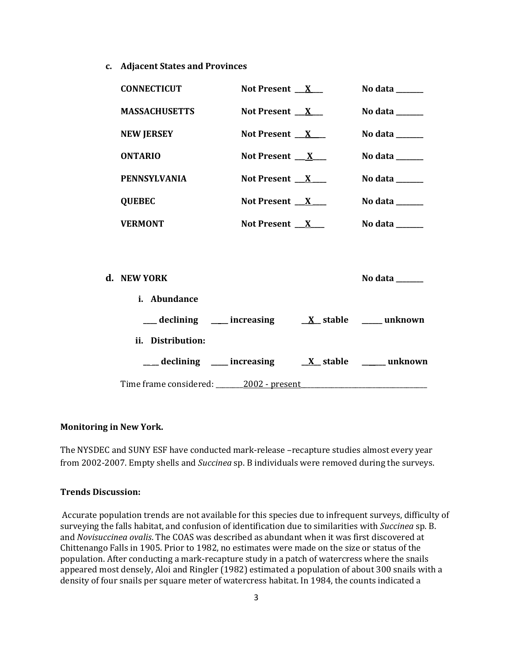**c. Adjacent States and Provinces**

| <b>CONNECTICUT</b>   | Not Present $X$              | No data ______                                                              |
|----------------------|------------------------------|-----------------------------------------------------------------------------|
| <b>MASSACHUSETTS</b> | Not Present $X$              | No data ______                                                              |
| <b>NEW JERSEY</b>    | Not Present $X$              | No data $\_\_\_\_\_\_\_\_\_\_\_\_\$                                         |
| <b>ONTARIO</b>       | Not Present $X_{-}$          | No data $\_\_\_\_\_\_\_\_\_\_\_\_\$                                         |
| <b>PENNSYLVANIA</b>  | Not Present $X_{\text{max}}$ | No data $\_\_\_\_\_\_\_\_\_\_\_\_\_\_\_\_\_$                                |
| <b>QUEBEC</b>        | Not Present $X$              | No data $\frac{1}{\sqrt{1-\frac{1}{2}}\cdot\frac{1}{\sqrt{1-\frac{1}{2}}}}$ |
| <b>VERMONT</b>       | Not Present $X_{-}$          | No data $\_\_$                                                              |
|                      |                              |                                                                             |
| d. NEW YORK          |                              | No data ______                                                              |
| i. Abundance         |                              |                                                                             |
|                      |                              |                                                                             |
| ii. Distribution:    |                              |                                                                             |

Time frame considered: \_\_\_\_\_\_\_\_2002 - present\_\_\_\_\_\_\_\_\_\_\_\_\_\_\_\_\_\_\_\_\_\_\_\_\_\_\_\_\_\_\_\_\_\_\_\_\_

**\_\_ \_\_ declining \_\_\_\_\_ increasing \_\_X\_\_ stable \_\_\_\_\_\_\_ unknown**

#### **Monitoring in New York.**

The NYSDEC and SUNY ESF have conducted mark-release –recapture studies almost every year from 2002-2007. Empty shells and *Succinea* sp. B individuals were removed during the surveys.

#### **Trends Discussion:**

Accurate population trends are not available for this species due to infrequent surveys, difficulty of surveying the falls habitat, and confusion of identification due to similarities with *Succinea* sp. B. and *Novisuccinea ovalis*. The COAS was described as abundant when it was first discovered at Chittenango Falls in 1905. Prior to 1982, no estimates were made on the size or status of the population. After conducting a mark-recapture study in a patch of watercress where the snails appeared most densely, Aloi and Ringler (1982) estimated a population of about 300 snails with a density of four snails per square meter of watercress habitat. In 1984, the counts indicated a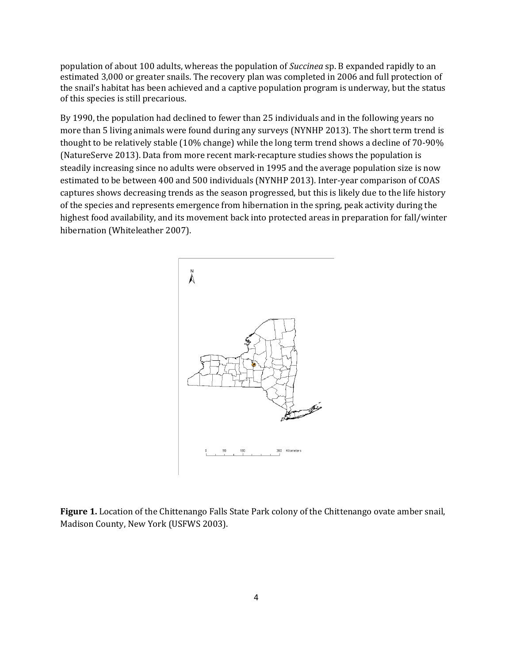population of about 100 adults, whereas the population of *Succinea* sp. B expanded rapidly to an estimated 3,000 or greater snails. The recovery plan was completed in 2006 and full protection of the snail's habitat has been achieved and a captive population program is underway, but the status of this species is still precarious.

By 1990, the population had declined to fewer than 25 individuals and in the following years no more than 5 living animals were found during any surveys (NYNHP 2013). The short term trend is thought to be relatively stable (10% change) while the long term trend shows a decline of 70-90% (NatureServe 2013). Data from more recent mark-recapture studies shows the population is steadily increasing since no adults were observed in 1995 and the average population size is now estimated to be between 400 and 500 individuals (NYNHP 2013). Inter-year comparison of COAS captures shows decreasing trends as the season progressed, but this is likely due to the life history of the species and represents emergence from hibernation in the spring, peak activity during the highest food availability, and its movement back into protected areas in preparation for fall/winter hibernation (Whiteleather 2007).



**Figure 1.** Location of the Chittenango Falls State Park colony of the Chittenango ovate amber snail, Madison County, New York (USFWS 2003).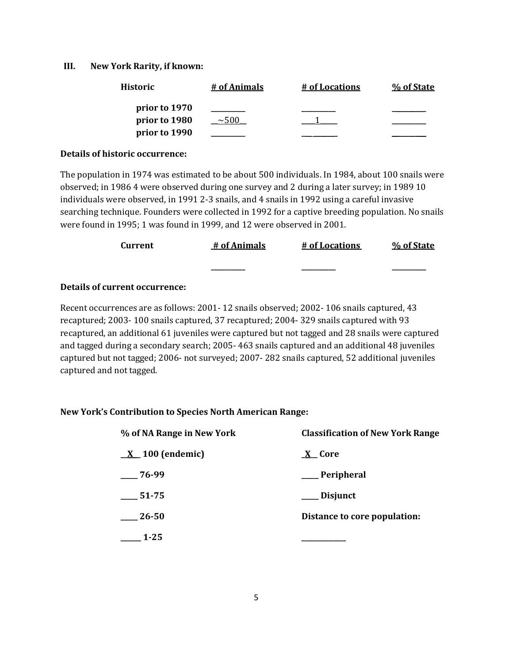#### **III. New York Rarity, if known:**

| <b>Historic</b> | # of Animals | # of Locations | % of State |
|-----------------|--------------|----------------|------------|
| prior to 1970   |              |                |            |
| prior to 1980   | ~100         |                |            |
| prior to 1990   |              |                |            |

#### **Details of historic occurrence:**

The population in 1974 was estimated to be about 500 individuals. In 1984, about 100 snails were observed; in 1986 4 were observed during one survey and 2 during a later survey; in 1989 10 individuals were observed, in 1991 2-3 snails, and 4 snails in 1992 using a careful invasive searching technique. Founders were collected in 1992 for a captive breeding population. No snails were found in 1995; 1 was found in 1999, and 12 were observed in 2001.

| Current | # of Animals | # of Locations | % of State |
|---------|--------------|----------------|------------|
|         | _________    | _________      | _______    |

## **Details of current occurrence:**

Recent occurrences are as follows: 2001- 12 snails observed; 2002- 106 snails captured, 43 recaptured; 2003- 100 snails captured, 37 recaptured; 2004- 329 snails captured with 93 recaptured, an additional 61 juveniles were captured but not tagged and 28 snails were captured and tagged during a secondary search; 2005- 463 snails captured and an additional 48 juveniles captured but not tagged; 2006- not surveyed; 2007- 282 snails captured, 52 additional juveniles captured and not tagged.

#### **New York's Contribution to Species North American Range:**

| % of NA Range in New York     | <b>Classification of New York Range</b> |  |  |
|-------------------------------|-----------------------------------------|--|--|
| $\underline{X}$ 100 (endemic) | <b>X</b> Core                           |  |  |
| $-76-99$                      | <sub>-</sub> Peripheral                 |  |  |
| 51-75                         | Disjunct                                |  |  |
| $-26 - 50$                    | Distance to core population:            |  |  |
| $1 - 25$                      |                                         |  |  |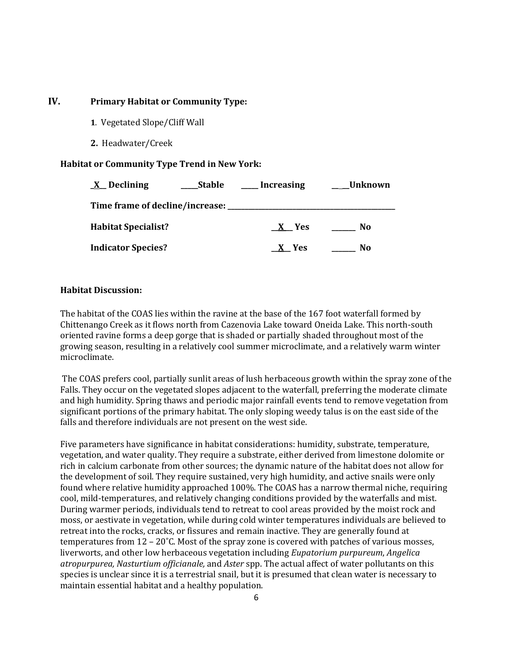## **IV. Primary Habitat or Community Type:**

- **1**. Vegetated Slope/Cliff Wall
- **2.** Headwater/Creek

## **Habitat or Community Type Trend in New York:**

| $X$ Declining                      | Stable | Increasing | Unknown |
|------------------------------------|--------|------------|---------|
| Time frame of decline/increase: __ |        |            |         |
| <b>Habitat Specialist?</b>         |        | X Yes      | No.     |
| <b>Indicator Species?</b>          |        | X Yes      | No      |

## **Habitat Discussion:**

The habitat of the COAS lies within the ravine at the base of the 167 foot waterfall formed by Chittenango Creek as it flows north from Cazenovia Lake toward Oneida Lake. This north-south oriented ravine forms a deep gorge that is shaded or partially shaded throughout most of the growing season, resulting in a relatively cool summer microclimate, and a relatively warm winter microclimate.

The COAS prefers cool, partially sunlit areas of lush herbaceous growth within the spray zone of the Falls. They occur on the vegetated slopes adjacent to the waterfall, preferring the moderate climate and high humidity. Spring thaws and periodic major rainfall events tend to remove vegetation from significant portions of the primary habitat. The only sloping weedy talus is on the east side of the falls and therefore individuals are not present on the west side.

Five parameters have significance in habitat considerations: humidity, substrate, temperature, vegetation, and water quality. They require a substrate, either derived from limestone dolomite or rich in calcium carbonate from other sources; the dynamic nature of the habitat does not allow for the development of soil. They require sustained, very high humidity, and active snails were only found where relative humidity approached 100%. The COAS has a narrow thermal niche, requiring cool, mild-temperatures, and relatively changing conditions provided by the waterfalls and mist. During warmer periods, individuals tend to retreat to cool areas provided by the moist rock and moss, or aestivate in vegetation, while during cold winter temperatures individuals are believed to retreat into the rocks, cracks, or fissures and remain inactive. They are generally found at temperatures from 12 – 20˚C. Most of the spray zone is covered with patches of various mosses, liverworts, and other low herbaceous vegetation including *Eupatorium purpureum*, *Angelica atropurpurea, Nasturtium officianale,* and *Aster* spp. The actual affect of water pollutants on this species is unclear since it is a terrestrial snail, but it is presumed that clean water is necessary to maintain essential habitat and a healthy population.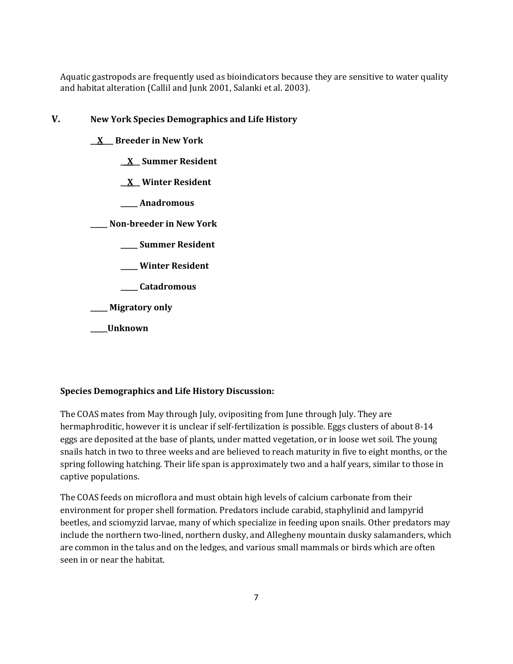Aquatic gastropods are frequently used as bioindicators because they are sensitive to water quality and habitat alteration (Callil and Junk 2001, Salanki et al. 2003).

## **V. New York Species Demographics and Life History**

- **\_\_X\_\_\_ Breeder in New York**
	- **\_\_X\_\_ Summer Resident**
	- **\_\_X\_\_ Winter Resident**
	- **\_\_\_\_\_ Anadromous**

**\_\_\_\_\_ Non-breeder in New York**

- **\_\_\_\_\_ Summer Resident**
- **\_\_\_\_\_ Winter Resident**
- **\_\_\_\_\_ Catadromous**

**\_\_\_\_\_ Migratory only**

**\_\_\_\_\_Unknown**

## **Species Demographics and Life History Discussion:**

The COAS mates from May through July, ovipositing from June through July. They are hermaphroditic, however it is unclear if self-fertilization is possible. Eggs clusters of about 8-14 eggs are deposited at the base of plants, under matted vegetation, or in loose wet soil. The young snails hatch in two to three weeks and are believed to reach maturity in five to eight months, or the spring following hatching. Their life span is approximately two and a half years, similar to those in captive populations.

The COAS feeds on microflora and must obtain high levels of calcium carbonate from their environment for proper shell formation. Predators include carabid, staphylinid and lampyrid beetles, and sciomyzid larvae, many of which specialize in feeding upon snails. Other predators may include the northern two-lined, northern dusky, and Allegheny mountain dusky salamanders, which are common in the talus and on the ledges, and various small mammals or birds which are often seen in or near the habitat.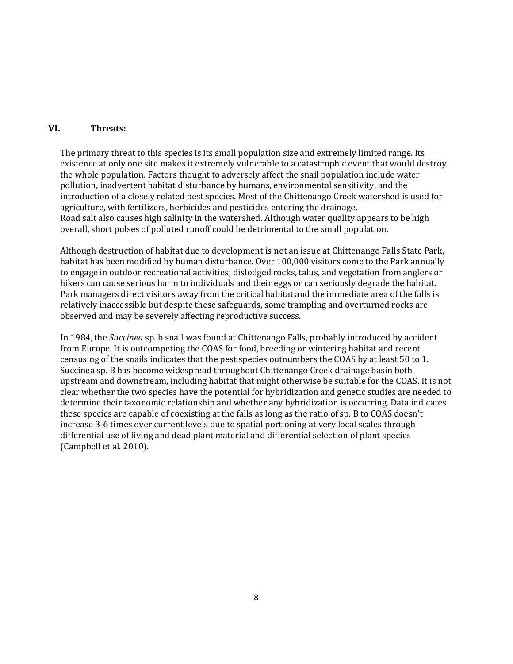## **VI. Threats:**

The primary threat to this species is its small population size and extremely limited range. Its existence at only one site makes it extremely vulnerable to a catastrophic event that would destroy the whole population. Factors thought to adversely affect the snail population include water pollution, inadvertent habitat disturbance by humans, environmental sensitivity, and the introduction of a closely related pest species. Most of the Chittenango Creek watershed is used for agriculture, with fertilizers, herbicides and pesticides entering the drainage. Road salt also causes high salinity in the watershed. Although water quality appears to be high overall, short pulses of polluted runoff could be detrimental to the small population.

Although destruction of habitat due to development is not an issue at Chittenango Falls State Park, habitat has been modified by human disturbance. Over 100,000 visitors come to the Park annually to engage in outdoor recreational activities; dislodged rocks, talus, and vegetation from anglers or hikers can cause serious harm to individuals and their eggs or can seriously degrade the habitat. Park managers direct visitors away from the critical habitat and the immediate area of the falls is relatively inaccessible but despite these safeguards, some trampling and overturned rocks are observed and may be severely affecting reproductive success.

In 1984, the *Succinea* sp. b snail was found at Chittenango Falls, probably introduced by accident from Europe. It is outcompeting the COAS for food, breeding or wintering habitat and recent censusing of the snails indicates that the pest species outnumbers the COAS by at least 50 to 1. Succinea sp. B has become widespread throughout Chittenango Creek drainage basin both upstream and downstream, including habitat that might otherwise be suitable for the COAS. It is not clear whether the two species have the potential for hybridization and genetic studies are needed to determine their taxonomic relationship and whether any hybridization is occurring. Data indicates these species are capable of coexisting at the falls as long as the ratio of sp. B to COAS doesn't increase 3-6 times over current levels due to spatial portioning at very local scales through differential use of living and dead plant material and differential selection of plant species (Campbell et al. 2010).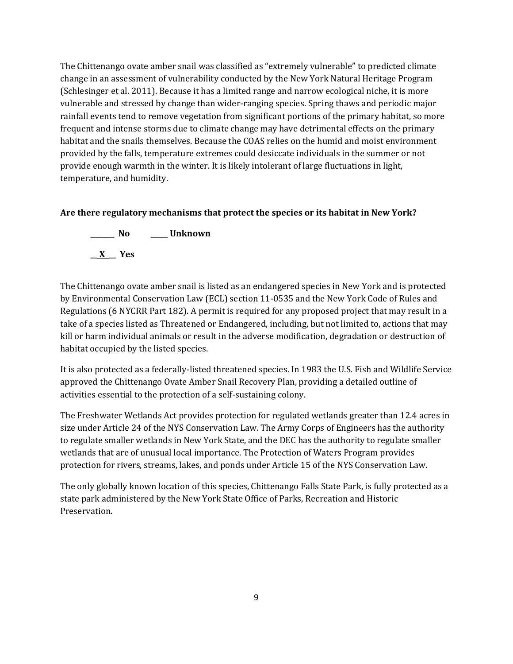The Chittenango ovate amber snail was classified as "extremely vulnerable" to predicted climate change in an assessment of vulnerability conducted by the New York Natural Heritage Program (Schlesinger et al. 2011). Because it has a limited range and narrow ecological niche, it is more vulnerable and stressed by change than wider-ranging species. Spring thaws and periodic major rainfall events tend to remove vegetation from significant portions of the primary habitat, so more frequent and intense storms due to climate change may have detrimental effects on the primary habitat and the snails themselves. Because the COAS relies on the humid and moist environment provided by the falls, temperature extremes could desiccate individuals in the summer or not provide enough warmth in the winter. It is likely intolerant of large fluctuations in light, temperature, and humidity.

## **Are there regulatory mechanisms that protect the species or its habitat in New York?**



The Chittenango ovate amber snail is listed as an endangered species in New York and is protected by Environmental Conservation Law (ECL) section 11-0535 and the New York Code of Rules and Regulations (6 NYCRR Part 182). A permit is required for any proposed project that may result in a take of a species listed as Threatened or Endangered, including, but not limited to, actions that may kill or harm individual animals or result in the adverse modification, degradation or destruction of habitat occupied by the listed species.

It is also protected as a federally-listed threatened species. In 1983 the U.S. Fish and Wildlife Service approved the Chittenango Ovate Amber Snail Recovery Plan, providing a detailed outline of activities essential to the protection of a self-sustaining colony.

The Freshwater Wetlands Act provides protection for regulated wetlands greater than 12.4 acres in size under Article 24 of the NYS Conservation Law. The Army Corps of Engineers has the authority to regulate smaller wetlands in New York State, and the DEC has the authority to regulate smaller wetlands that are of unusual local importance. The Protection of Waters Program provides protection for rivers, streams, lakes, and ponds under Article 15 of the NYS Conservation Law.

The only globally known location of this species, Chittenango Falls State Park, is fully protected as a state park administered by the New York State Office of Parks, Recreation and Historic Preservation.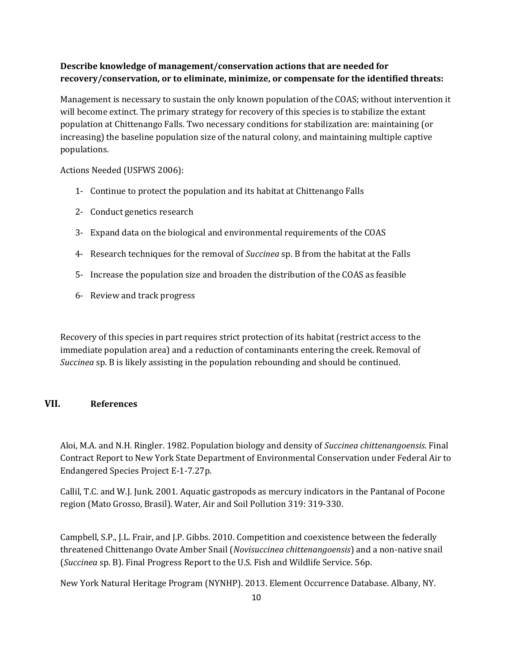## **Describe knowledge of management/conservation actions that are needed for recovery/conservation, or to eliminate, minimize, or compensate for the identified threats:**

Management is necessary to sustain the only known population of the COAS; without intervention it will become extinct. The primary strategy for recovery of this species is to stabilize the extant population at Chittenango Falls. Two necessary conditions for stabilization are: maintaining (or increasing) the baseline population size of the natural colony, and maintaining multiple captive populations.

Actions Needed (USFWS 2006):

- 1- Continue to protect the population and its habitat at Chittenango Falls
- 2- Conduct genetics research
- 3- Expand data on the biological and environmental requirements of the COAS
- 4- Research techniques for the removal of *Succinea* sp. B from the habitat at the Falls
- 5- Increase the population size and broaden the distribution of the COAS as feasible
- 6- Review and track progress

Recovery of this species in part requires strict protection of its habitat (restrict access to the immediate population area) and a reduction of contaminants entering the creek. Removal of *Succinea* sp. B is likely assisting in the population rebounding and should be continued.

## **VII. References**

Aloi, M.A. and N.H. Ringler. 1982. Population biology and density of *Succinea chittenangoensis*. Final Contract Report to New York State Department of Environmental Conservation under Federal Air to Endangered Species Project E-1-7.27p.

Callil, T.C. and W.J. Junk. 2001. Aquatic gastropods as mercury indicators in the Pantanal of Pocone region (Mato Grosso, Brasil). Water, Air and Soil Pollution 319: 319-330.

Campbell, S.P., J.L. Frair, and J.P. Gibbs. 2010. Competition and coexistence between the federally threatened Chittenango Ovate Amber Snail (*Novisuccinea chittenangoensis*) and a non-native snail (*Succinea* sp. B). Final Progress Report to the U.S. Fish and Wildlife Service. 56p.

New York Natural Heritage Program (NYNHP). 2013. Element Occurrence Database. Albany, NY.